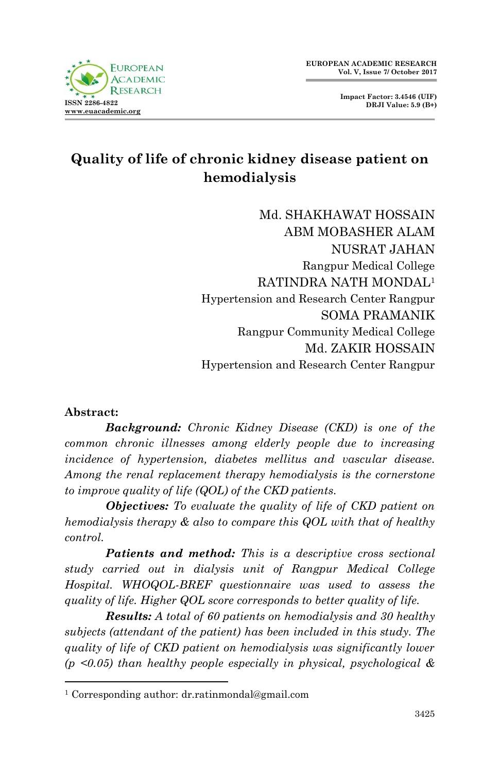# **Quality of life of chronic kidney disease patient on hemodialysis**

Md. SHAKHAWAT HOSSAIN ABM MOBASHER ALAM NUSRAT JAHAN Rangpur Medical College RATINDRA NATH MONDAL<sup>1</sup> Hypertension and Research Center Rangpur SOMA PRAMANIK Rangpur Community Medical College Md. ZAKIR HOSSAIN Hypertension and Research Center Rangpur

#### **Abstract:**

1

**ISSN 2286-4822 [www.euacademic.org](http://www.euacademic.org/)**

**FUROPEAN ACADEMIC**  $R$  ESE

*Background: Chronic Kidney Disease (CKD) is one of the common chronic illnesses among elderly people due to increasing incidence of hypertension, diabetes mellitus and vascular disease. Among the renal replacement therapy hemodialysis is the cornerstone to improve quality of life (QOL) of the CKD patients.* 

*Objectives: To evaluate the quality of life of CKD patient on hemodialysis therapy & also to compare this QOL with that of healthy control.* 

*Patients and method: This is a descriptive cross sectional study carried out in dialysis unit of Rangpur Medical College Hospital. WHOQOL-BREF questionnaire was used to assess the quality of life. Higher QOL score corresponds to better quality of life.*

*Results: A total of 60 patients on hemodialysis and 30 healthy subjects (attendant of the patient) has been included in this study. The quality of life of CKD patient on hemodialysis was significantly lower (p <0.05) than healthy people especially in physical, psychological &* 

<sup>1</sup> Corresponding author: dr.ratinmondal@gmail.com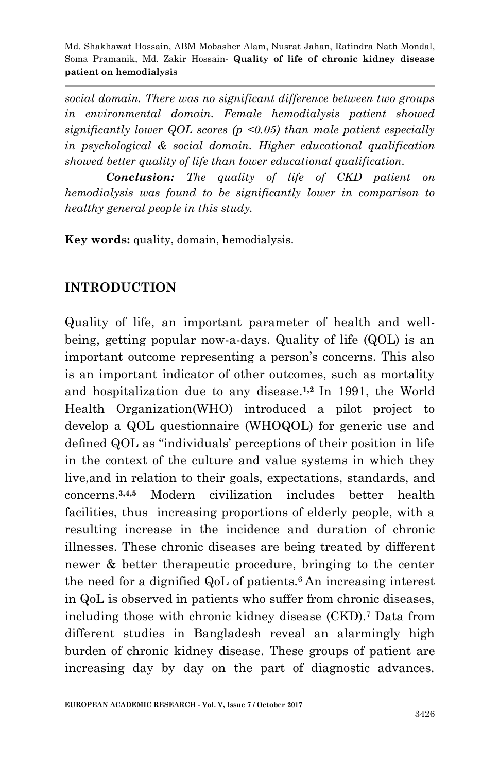*social domain. There was no significant difference between two groups in environmental domain. Female hemodialysis patient showed significantly lower QOL scores (p <0.05) than male patient especially in psychological & social domain. Higher educational qualification showed better quality of life than lower educational qualification.*

*Conclusion: The quality of life of CKD patient on hemodialysis was found to be significantly lower in comparison to healthy general people in this study.*

**Key words:** quality, domain, hemodialysis.

### **INTRODUCTION**

Quality of life, an important parameter of health and wellbeing, getting popular now-a-days. Quality of life (QOL) is an important outcome representing a person's concerns. This also is an important indicator of other outcomes, such as mortality and hospitalization due to any disease. **1,2** In 1991, the World Health Organization(WHO) introduced a pilot project to develop a QOL questionnaire (WHOQOL) for generic use and defined QOL as "individuals' perceptions of their position in life in the context of the culture and value systems in which they live,and in relation to their goals, expectations, standards, and concerns.**3,4,5** Modern civilization includes better health facilities, thus increasing proportions of elderly people, with a resulting increase in the incidence and duration of chronic illnesses. These chronic diseases are being treated by different newer & better therapeutic procedure, bringing to the center the need for a dignified QoL of patients.6 An increasing interest in QoL is observed in patients who suffer from chronic diseases, including those with chronic kidney disease (CKD).<sup>7</sup> Data from different studies in Bangladesh reveal an alarmingly high burden of chronic kidney disease. These groups of patient are increasing day by day on the part of diagnostic advances.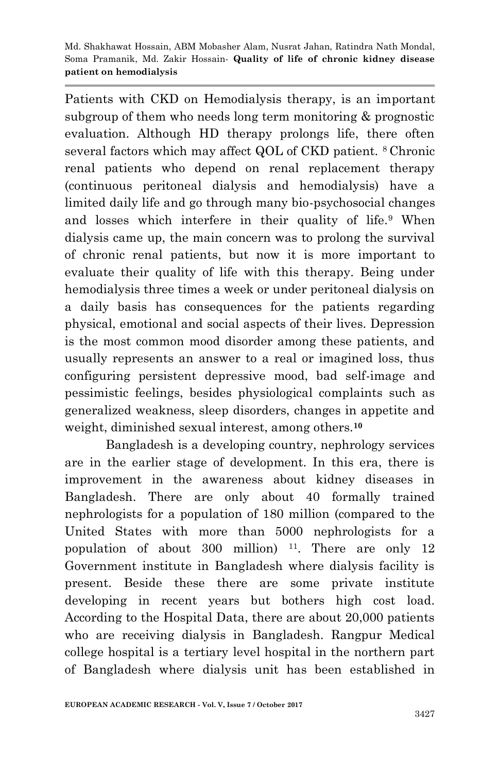Patients with CKD on Hemodialysis therapy, is an important subgroup of them who needs long term monitoring & prognostic evaluation. Although HD therapy prolongs life, there often several factors which may affect QOL of CKD patient. 8 Chronic renal patients who depend on renal replacement therapy (continuous peritoneal dialysis and hemodialysis) have a limited daily life and go through many bio-psychosocial changes and losses which interfere in their quality of life.<sup>9</sup> When dialysis came up, the main concern was to prolong the survival of chronic renal patients, but now it is more important to evaluate their quality of life with this therapy. Being under hemodialysis three times a week or under peritoneal dialysis on a daily basis has consequences for the patients regarding physical, emotional and social aspects of their lives. Depression is the most common mood disorder among these patients, and usually represents an answer to a real or imagined loss, thus configuring persistent depressive mood, bad self-image and pessimistic feelings, besides physiological complaints such as generalized weakness, sleep disorders, changes in appetite and weight, diminished sexual interest, among others.**<sup>10</sup>**

Bangladesh is a developing country, nephrology services are in the earlier stage of development. In this era, there is improvement in the awareness about kidney diseases in Bangladesh. There are only about 40 formally trained nephrologists for a population of 180 million (compared to the United States with more than 5000 nephrologists for a population of about 300 million)  $11$ . There are only 12 Government institute in Bangladesh where dialysis facility is present. Beside these there are some private institute developing in recent years but bothers high cost load. According to the Hospital Data, there are about 20,000 patients who are receiving dialysis in Bangladesh. Rangpur Medical college hospital is a tertiary level hospital in the northern part of Bangladesh where dialysis unit has been established in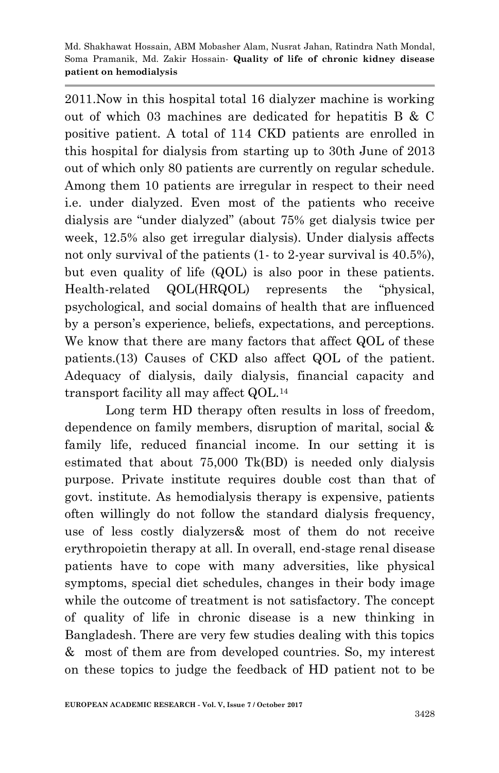2011.Now in this hospital total 16 dialyzer machine is working out of which 03 machines are dedicated for hepatitis B & C positive patient. A total of 114 CKD patients are enrolled in this hospital for dialysis from starting up to 30th June of 2013 out of which only 80 patients are currently on regular schedule. Among them 10 patients are irregular in respect to their need i.e. under dialyzed. Even most of the patients who receive dialysis are "under dialyzed" (about 75% get dialysis twice per week, 12.5% also get irregular dialysis). Under dialysis affects not only survival of the patients (1- to 2-year survival is 40.5%), but even quality of life (QOL) is also poor in these patients. Health-related QOL(HRQOL) represents the "physical, psychological, and social domains of health that are influenced by a person's experience, beliefs, expectations, and perceptions. We know that there are many factors that affect QOL of these patients.(13) Causes of CKD also affect QOL of the patient. Adequacy of dialysis, daily dialysis, financial capacity and transport facility all may affect QOL.<sup>14</sup>

Long term HD therapy often results in loss of freedom, dependence on family members, disruption of marital, social & family life, reduced financial income. In our setting it is estimated that about 75,000 Tk(BD) is needed only dialysis purpose. Private institute requires double cost than that of govt. institute. As hemodialysis therapy is expensive, patients often willingly do not follow the standard dialysis frequency, use of less costly dialyzers& most of them do not receive erythropoietin therapy at all. In overall, end-stage renal disease patients have to cope with many adversities, like physical symptoms, special diet schedules, changes in their body image while the outcome of treatment is not satisfactory. The concept of quality of life in chronic disease is a new thinking in Bangladesh. There are very few studies dealing with this topics & most of them are from developed countries. So, my interest on these topics to judge the feedback of HD patient not to be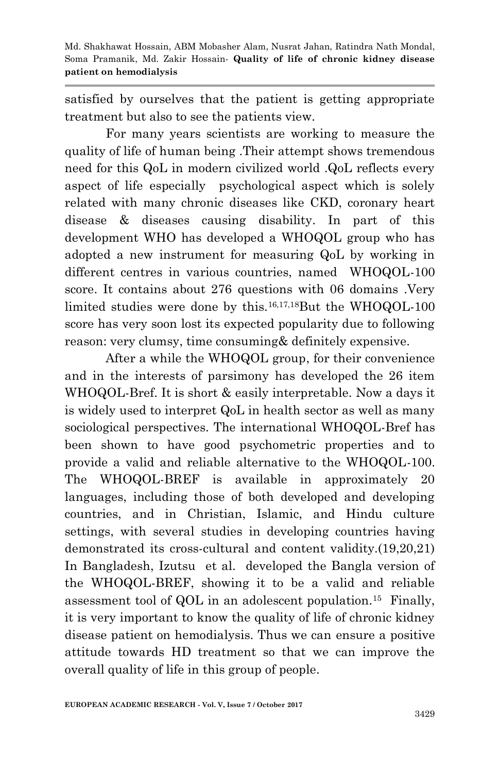satisfied by ourselves that the patient is getting appropriate treatment but also to see the patients view.

For many years scientists are working to measure the quality of life of human being .Their attempt shows tremendous need for this QoL in modern civilized world .QoL reflects every aspect of life especially psychological aspect which is solely related with many chronic diseases like CKD, coronary heart disease & diseases causing disability. In part of this development WHO has developed a WHOQOL group who has adopted a new instrument for measuring QoL by working in different centres in various countries, named WHOQOL-100 score. It contains about 276 questions with 06 domains .Very limited studies were done by this.<sup>16,17,18</sup>But the WHOQOL-100 score has very soon lost its expected popularity due to following reason: very clumsy, time consuming& definitely expensive.

After a while the WHOQOL group, for their convenience and in the interests of parsimony has developed the 26 item WHOQOL-Bref. It is short & easily interpretable. Now a days it is widely used to interpret QoL in health sector as well as many sociological perspectives. The international WHOQOL-Bref has been shown to have good psychometric properties and to provide a valid and reliable alternative to the WHOQOL-100. The WHOQOL-BREF is available in approximately 20 languages, including those of both developed and developing countries, and in Christian, Islamic, and Hindu culture settings, with several studies in developing countries having demonstrated its cross-cultural and content validity.(19,20,21) In Bangladesh, Izutsu et al. developed the Bangla version of the WHOQOL-BREF, showing it to be a valid and reliable assessment tool of QOL in an adolescent population.<sup>15</sup> Finally, it is very important to know the quality of life of chronic kidney disease patient on hemodialysis. Thus we can ensure a positive attitude towards HD treatment so that we can improve the overall quality of life in this group of people.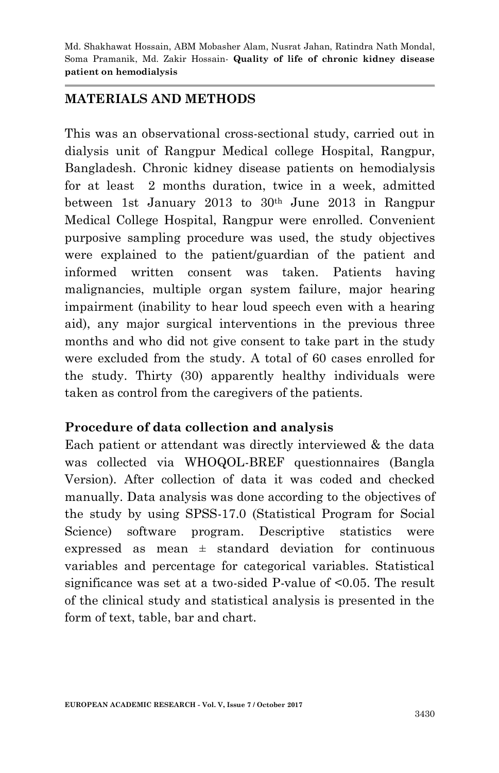#### **MATERIALS AND METHODS**

This was an observational cross-sectional study, carried out in dialysis unit of Rangpur Medical college Hospital, Rangpur, Bangladesh. Chronic kidney disease patients on hemodialysis for at least 2 months duration, twice in a week, admitted between 1st January 2013 to  $30<sup>th</sup>$  June 2013 in Rangpur Medical College Hospital, Rangpur were enrolled. Convenient purposive sampling procedure was used, the study objectives were explained to the patient/guardian of the patient and informed written consent was taken. Patients having malignancies, multiple organ system failure, major hearing impairment (inability to hear loud speech even with a hearing aid), any major surgical interventions in the previous three months and who did not give consent to take part in the study were excluded from the study. A total of 60 cases enrolled for the study. Thirty (30) apparently healthy individuals were taken as control from the caregivers of the patients.

### **Procedure of data collection and analysis**

Each patient or attendant was directly interviewed & the data was collected via WHOQOL-BREF questionnaires (Bangla Version). After collection of data it was coded and checked manually. Data analysis was done according to the objectives of the study by using SPSS-17.0 (Statistical Program for Social Science) software program. Descriptive statistics were expressed as mean  $\pm$  standard deviation for continuous variables and percentage for categorical variables. Statistical significance was set at a two-sided P-value of <0.05. The result of the clinical study and statistical analysis is presented in the form of text, table, bar and chart.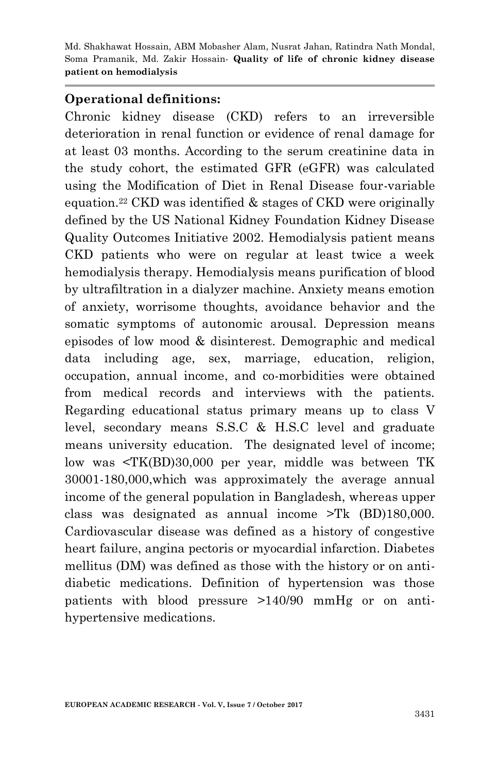#### **Operational definitions:**

Chronic kidney disease (CKD) refers to an irreversible deterioration in renal function or evidence of renal damage for at least 03 months. According to the serum creatinine data in the study cohort, the estimated GFR (eGFR) was calculated using the Modification of Diet in Renal Disease four-variable equation.<sup>22</sup> CKD was identified & stages of CKD were originally defined by the US National Kidney Foundation Kidney Disease Quality Outcomes Initiative 2002. Hemodialysis patient means CKD patients who were on regular at least twice a week hemodialysis therapy. Hemodialysis means purification of blood by ultrafiltration in a dialyzer machine. Anxiety means emotion of anxiety, worrisome thoughts, avoidance behavior and the somatic symptoms of autonomic arousal. Depression means episodes of low mood & disinterest. Demographic and medical data including age, sex, marriage, education, religion, occupation, annual income, and co-morbidities were obtained from medical records and interviews with the patients. Regarding educational status primary means up to class V level, secondary means S.S.C & H.S.C level and graduate means university education. The designated level of income; low was <TK(BD)30,000 per year, middle was between TK 30001-180,000,which was approximately the average annual income of the general population in Bangladesh, whereas upper class was designated as annual income >Tk (BD)180,000. Cardiovascular disease was defined as a history of congestive heart failure, angina pectoris or myocardial infarction. Diabetes mellitus (DM) was defined as those with the history or on antidiabetic medications. Definition of hypertension was those patients with blood pressure >140/90 mmHg or on antihypertensive medications.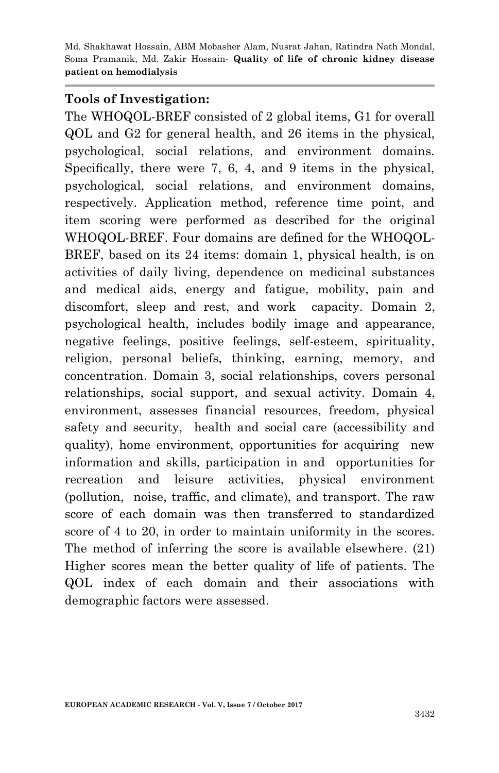#### **Tools of Investigation:**

The WHOQOL-BREF consisted of 2 global items, G1 for overall QOL and G2 for general health, and 26 items in the physical, psychological, social relations, and environment domains. Specifically, there were 7, 6, 4, and 9 items in the physical, psychological, social relations, and environment domains, respectively. Application method, reference time point, and item scoring were performed as described for the original WHOQOL-BREF. Four domains are defined for the WHOQOL-BREF, based on its 24 items: domain 1, physical health, is on activities of daily living, dependence on medicinal substances and medical aids, energy and fatigue, mobility, pain and discomfort, sleep and rest, and work capacity. Domain 2, psychological health, includes bodily image and appearance, negative feelings, positive feelings, self-esteem, spirituality, religion, personal beliefs, thinking, earning, memory, and concentration. Domain 3, social relationships, covers personal relationships, social support, and sexual activity. Domain 4, environment, assesses financial resources, freedom, physical safety and security, health and social care (accessibility and quality), home environment, opportunities for acquiring new information and skills, participation in and opportunities for recreation and leisure activities, physical environment (pollution, noise, traffic, and climate), and transport. The raw score of each domain was then transferred to standardized score of 4 to 20, in order to maintain uniformity in the scores. The method of inferring the score is available elsewhere. (21) Higher scores mean the better quality of life of patients. The QOL index of each domain and their associations with demographic factors were assessed.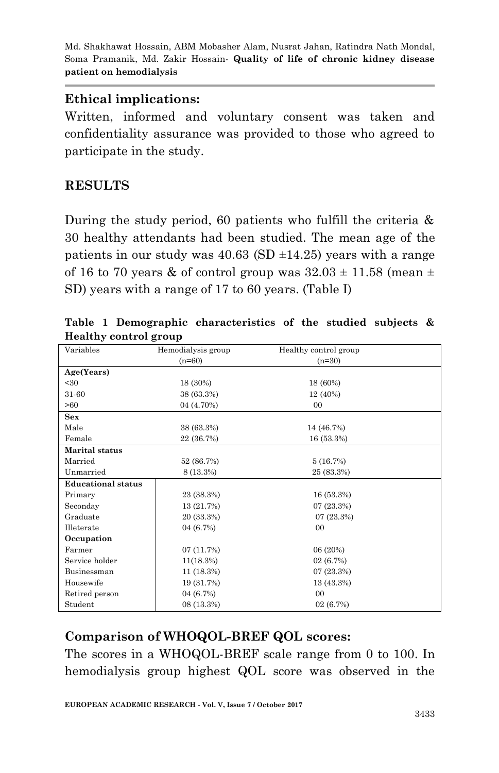### **Ethical implications:**

Written, informed and voluntary consent was taken and confidentiality assurance was provided to those who agreed to participate in the study.

# **RESULTS**

During the study period, 60 patients who fulfill the criteria & 30 healthy attendants had been studied. The mean age of the patients in our study was  $40.63$  (SD  $\pm$ 14.25) years with a range of 16 to 70 years & of control group was  $32.03 \pm 11.58$  (mean  $\pm$ SD) years with a range of 17 to 60 years. (Table I)

| Variables                 | Hemodialysis group | Healthy control group |  |
|---------------------------|--------------------|-----------------------|--|
|                           | $(n=60)$           | $(n=30)$              |  |
| Age(Years)                |                    |                       |  |
| $30$                      | 18 (30%)           | 18 (60%)              |  |
| 31-60                     | 38 (63.3%)         | 12 (40%)              |  |
| >60                       | 04 (4.70%)         | 00                    |  |
| Sex                       |                    |                       |  |
| Male                      | 38 (63.3%)         | 14 (46.7%)            |  |
| Female                    | 22 (36.7%)         | 16 (53.3%)            |  |
| Marital status            |                    |                       |  |
| Married                   | 52 (86.7%)         | 5(16.7%)              |  |
| Unmarried                 | 8 (13.3%)          | 25 (83.3%)            |  |
| <b>Educational status</b> |                    |                       |  |
| Primary                   | 23 (38.3%)         | 16(53.3%)             |  |
| Seconday                  | 13 (21.7%)         | 07(23.3%)             |  |
| Graduate                  | 20 (33.3%)         | 07(23.3%)             |  |
| Illeterate                | 04 (6.7%)          | 00                    |  |
| Occupation                |                    |                       |  |
| Farmer                    | 07(11.7%)          | 06 (20%)              |  |
| Service holder            | $11(18.3\%)$       | 02(6.7%)              |  |
| Businessman               | $11(18.3\%)$       | 07(23.3%)             |  |
| Housewife                 | 19 (31.7%)         | 13 (43.3%)            |  |
| Retired person            | 04 (6.7%)          | 00                    |  |
| Student                   | 08 (13.3%)         | 02(6.7%)              |  |

**Table 1 Demographic characteristics of the studied subjects & Healthy control group**

# **Comparison of WHOQOL-BREF QOL scores:**

The scores in a WHOQOL-BREF scale range from 0 to 100. In hemodialysis group highest QOL score was observed in the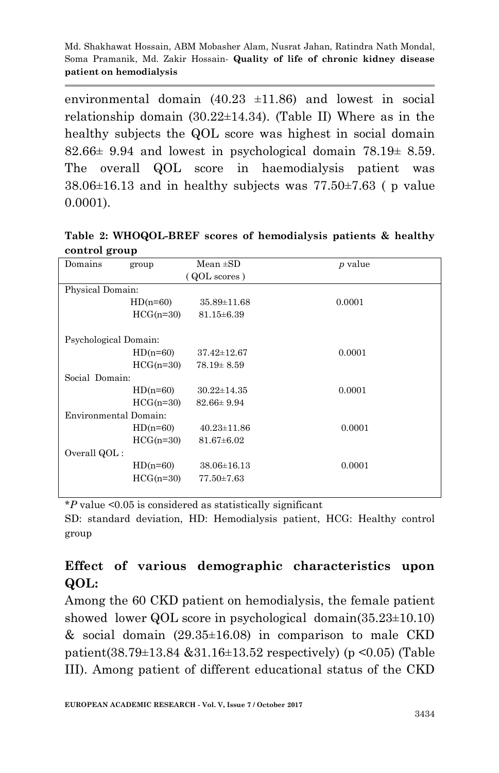environmental domain  $(40.23 \pm 11.86)$  and lowest in social relationship domain  $(30.22 \pm 14.34)$ . (Table II) Where as in the healthy subjects the QOL score was highest in social domain  $82.66 \pm 9.94$  and lowest in psychological domain  $78.19 \pm 8.59$ . The overall QOL score in haemodialysis patient was  $38.06\pm16.13$  and in healthy subjects was  $77.50\pm7.63$  (p value 0.0001).

| Table 2: WHOQOL-BREF scores of hemodialysis patients & healthy |  |  |
|----------------------------------------------------------------|--|--|
| control group                                                  |  |  |

| Domains               | group       | $Mean \pm SD$     | <i>p</i> value |  |  |
|-----------------------|-------------|-------------------|----------------|--|--|
| (QOL scores)          |             |                   |                |  |  |
| Physical Domain:      |             |                   |                |  |  |
|                       | $HD(n=60)$  | $35.89 \pm 11.68$ | 0.0001         |  |  |
|                       | $HCG(n=30)$ | $81.15 \pm 6.39$  |                |  |  |
|                       |             |                   |                |  |  |
| Psychological Domain: |             |                   |                |  |  |
|                       | $HD(n=60)$  | $37.42 \pm 12.67$ | 0.0001         |  |  |
|                       | $HCG(n=30)$ | $78.19 \pm 8.59$  |                |  |  |
| Social Domain:        |             |                   |                |  |  |
|                       | $HD(n=60)$  | $30.22 \pm 14.35$ | 0.0001         |  |  |
|                       | $HCG(n=30)$ | $82.66 \pm 9.94$  |                |  |  |
| Environmental Domain: |             |                   |                |  |  |
|                       | $HD(n=60)$  | $40.23 \pm 11.86$ | 0.0001         |  |  |
|                       | $HCG(n=30)$ | $81.67 \pm 6.02$  |                |  |  |
| Overall QOL:          |             |                   |                |  |  |
|                       | $HD(n=60)$  | $38.06 \pm 16.13$ | 0.0001         |  |  |
|                       | $HCG(n=30)$ | 77.50±7.63        |                |  |  |
|                       |             |                   |                |  |  |

\**P* value <0.05 is considered as statistically significant

SD: standard deviation, HD: Hemodialysis patient, HCG: Healthy control group

# **Effect of various demographic characteristics upon QOL:**

Among the 60 CKD patient on hemodialysis, the female patient showed lower QOL score in psychological domain(35.23±10.10) & social domain  $(29.35 \pm 16.08)$  in comparison to male CKD patient(38.79±13.84 &31.16±13.52 respectively) (p <0.05) (Table III). Among patient of different educational status of the CKD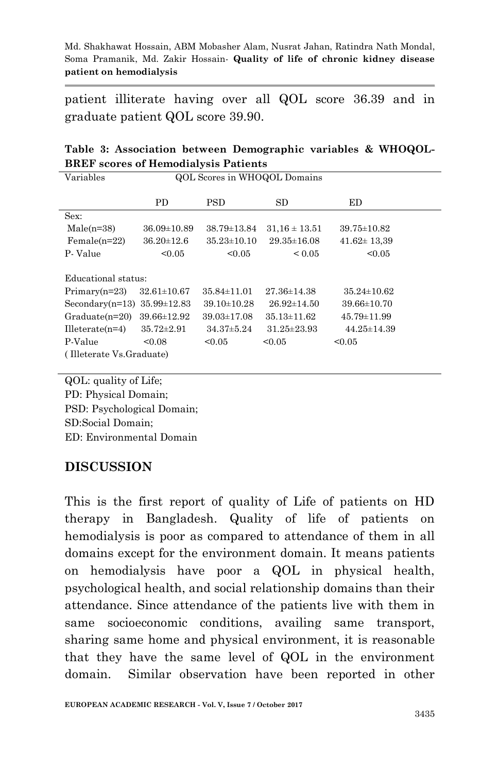patient illiterate having over all QOL score 36.39 and in graduate patient QOL score 39.90.

|  |                                             | Table 3: Association between Demographic variables & WHOQOL- |  |  |
|--|---------------------------------------------|--------------------------------------------------------------|--|--|
|  | <b>BREF</b> scores of Hemodialysis Patients |                                                              |  |  |

| Variables                         | QOL Scores in WHOQOL Domains |                   |                   |                   |  |  |
|-----------------------------------|------------------------------|-------------------|-------------------|-------------------|--|--|
|                                   | PD.                          | <b>PSD</b>        | SD                | ED                |  |  |
| Sex:                              |                              |                   |                   |                   |  |  |
| $Male(n=38)$                      | $36.09 \pm 10.89$            | 38.79±13.84       | $31.16 \pm 13.51$ | 39.75±10.82       |  |  |
| $Female(n=22)$                    | $36.20 \pm 12.6$             | $35.23 \pm 10.10$ | $29.35 \pm 16.08$ | $41.62 \pm 13.39$ |  |  |
| P-Value                           | < 0.05                       | < 0.05            | ${}_{0.05}$       | < 0.05            |  |  |
|                                   |                              |                   |                   |                   |  |  |
| Educational status:               |                              |                   |                   |                   |  |  |
| $Primary(n=23)$                   | $32.61 \pm 10.67$            | $35.84 \pm 11.01$ | $27.36 \pm 14.38$ | $35.24 \pm 10.62$ |  |  |
| Secondary(n=13) $35.99 \pm 12.83$ |                              | $39.10 \pm 10.28$ | $26.92 \pm 14.50$ | $39.66 \pm 10.70$ |  |  |
| $Graduate(n=20)$                  | $39.66 \pm 12.92$            | $39.03 \pm 17.08$ | $35.13 \pm 11.62$ | $45.79 \pm 11.99$ |  |  |
| $Hleterate(n=4)$                  | $35.72 \pm 2.91$             | $34.37 \pm 5.24$  | $31.25 \pm 23.93$ | 44.25±14.39       |  |  |
| P-Value                           | < 0.08                       | < 0.05            | < 0.05            | < 0.05            |  |  |
| (Illeterate Vs.Graduate)          |                              |                   |                   |                   |  |  |

QOL: quality of Life; PD: Physical Domain;

PSD: Psychological Domain;

SD:Social Domain;

ED: Environmental Domain

# **DISCUSSION**

This is the first report of quality of Life of patients on HD therapy in Bangladesh. Quality of life of patients on hemodialysis is poor as compared to attendance of them in all domains except for the environment domain. It means patients on hemodialysis have poor a QOL in physical health, psychological health, and social relationship domains than their attendance. Since attendance of the patients live with them in same socioeconomic conditions, availing same transport, sharing same home and physical environment, it is reasonable that they have the same level of QOL in the environment domain. Similar observation have been reported in other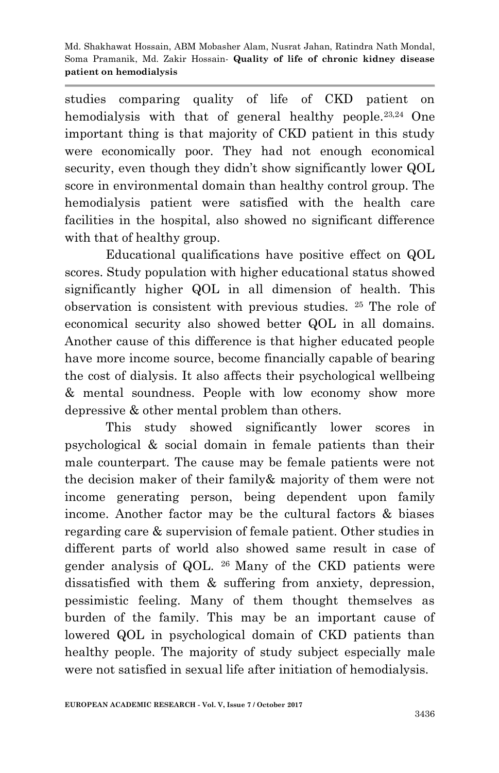studies comparing quality of life of CKD patient on hemodialysis with that of general healthy people.<sup>23,24</sup> One important thing is that majority of CKD patient in this study were economically poor. They had not enough economical security, even though they didn't show significantly lower QOL score in environmental domain than healthy control group. The hemodialysis patient were satisfied with the health care facilities in the hospital, also showed no significant difference with that of healthy group.

Educational qualifications have positive effect on QOL scores. Study population with higher educational status showed significantly higher QOL in all dimension of health. This observation is consistent with previous studies. <sup>25</sup> The role of economical security also showed better QOL in all domains. Another cause of this difference is that higher educated people have more income source, become financially capable of bearing the cost of dialysis. It also affects their psychological wellbeing & mental soundness. People with low economy show more depressive & other mental problem than others.

This study showed significantly lower scores in psychological & social domain in female patients than their male counterpart. The cause may be female patients were not the decision maker of their family& majority of them were not income generating person, being dependent upon family income. Another factor may be the cultural factors & biases regarding care & supervision of female patient. Other studies in different parts of world also showed same result in case of gender analysis of QOL. <sup>26</sup> Many of the CKD patients were dissatisfied with them & suffering from anxiety, depression, pessimistic feeling. Many of them thought themselves as burden of the family. This may be an important cause of lowered QOL in psychological domain of CKD patients than healthy people. The majority of study subject especially male were not satisfied in sexual life after initiation of hemodialysis.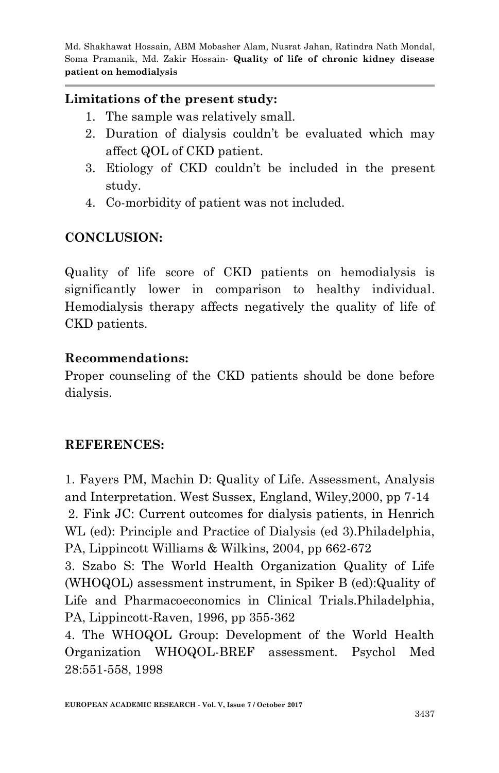### **Limitations of the present study:**

- 1. The sample was relatively small.
- 2. Duration of dialysis couldn't be evaluated which may affect QOL of CKD patient.
- 3. Etiology of CKD couldn't be included in the present study.
- 4. Co-morbidity of patient was not included.

# **CONCLUSION:**

Quality of life score of CKD patients on hemodialysis is significantly lower in comparison to healthy individual. Hemodialysis therapy affects negatively the quality of life of CKD patients.

### **Recommendations:**

Proper counseling of the CKD patients should be done before dialysis.

# **REFERENCES:**

1. Fayers PM, Machin D: Quality of Life. Assessment, Analysis and Interpretation. West Sussex, England, Wiley,2000, pp 7-14 2. Fink JC: Current outcomes for dialysis patients, in Henrich WL (ed): Principle and Practice of Dialysis (ed 3).Philadelphia, PA, Lippincott Williams & Wilkins, 2004, pp 662-672

3. Szabo S: The World Health Organization Quality of Life (WHOQOL) assessment instrument, in Spiker B (ed):Quality of Life and Pharmacoeconomics in Clinical Trials.Philadelphia, PA, Lippincott-Raven, 1996, pp 355-362

4. The WHOQOL Group: Development of the World Health Organization WHOQOL-BREF assessment. Psychol Med 28:551-558, 1998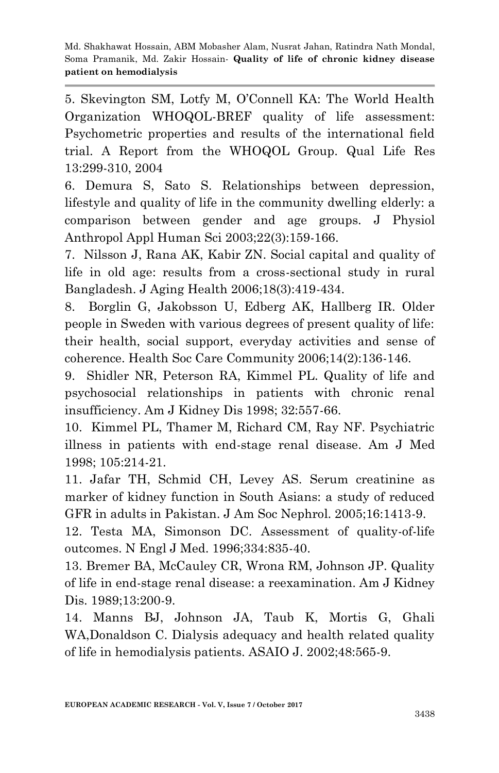5. Skevington SM, Lotfy M, O'Connell KA: The World Health Organization WHOQOL-BREF quality of life assessment: Psychometric properties and results of the international field trial. A Report from the WHOQOL Group. Qual Life Res 13:299-310, 2004

6. Demura S, Sato S. Relationships between depression, lifestyle and quality of life in the community dwelling elderly: a comparison between gender and age groups. J Physiol Anthropol Appl Human Sci 2003;22(3):159-166.

7. Nilsson J, Rana AK, Kabir ZN. Social capital and quality of life in old age: results from a cross-sectional study in rural Bangladesh. J Aging Health 2006;18(3):419-434.

8. Borglin G, Jakobsson U, Edberg AK, Hallberg IR. Older people in Sweden with various degrees of present quality of life: their health, social support, everyday activities and sense of coherence. Health Soc Care Community 2006;14(2):136-146.

9. Shidler NR, Peterson RA, Kimmel PL. Quality of life and psychosocial relationships in patients with chronic renal insufficiency. Am J Kidney Dis 1998; 32:557-66.

10. Kimmel PL, Thamer M, Richard CM, Ray NF. Psychiatric illness in patients with end-stage renal disease. Am J Med 1998; 105:214-21.

11. Jafar TH, Schmid CH, Levey AS. Serum creatinine as marker of kidney function in South Asians: a study of reduced GFR in adults in Pakistan. J Am Soc Nephrol. 2005;16:1413-9.

12. Testa MA, Simonson DC. Assessment of quality-of-life outcomes. N Engl J Med. 1996;334:835-40.

13. Bremer BA, McCauley CR, Wrona RM, Johnson JP. Quality of life in end-stage renal disease: a reexamination. Am J Kidney Dis. 1989;13:200-9.

14. Manns BJ, Johnson JA, Taub K, Mortis G, Ghali WA,Donaldson C. Dialysis adequacy and health related quality of life in hemodialysis patients. ASAIO J. 2002;48:565-9.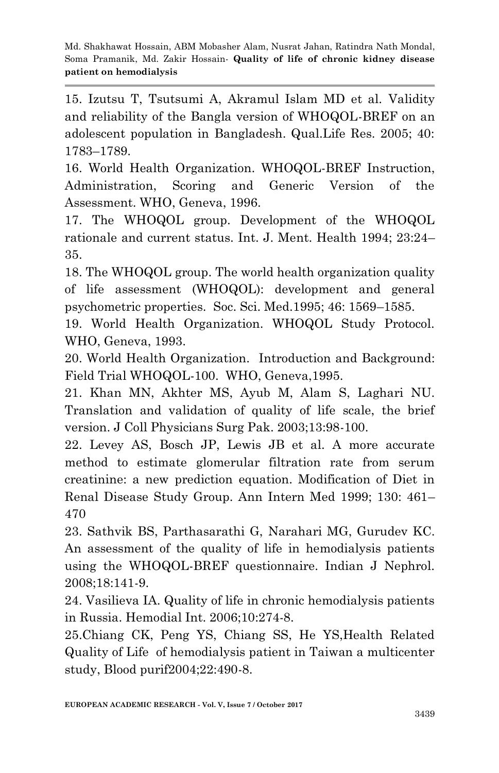15. Izutsu T, Tsutsumi A, Akramul Islam MD et al. Validity and reliability of the Bangla version of WHOQOL-BREF on an adolescent population in Bangladesh. Qual.Life Res. 2005; 40: 1783–1789.

16. World Health Organization. WHOQOL-BREF Instruction, Administration, Scoring and Generic Version of the Assessment. WHO, Geneva, 1996.

17. The WHOQOL group. Development of the WHOQOL rationale and current status. Int. J. Ment. Health 1994; 23:24– 35.

18. The WHOQOL group. The world health organization quality of life assessment (WHOQOL): development and general psychometric properties. Soc. Sci. Med.1995; 46: 1569–1585.

19. World Health Organization. WHOQOL Study Protocol. WHO, Geneva, 1993.

20. World Health Organization. Introduction and Background: Field Trial WHOQOL-100. WHO, Geneva,1995.

21. Khan MN, Akhter MS, Ayub M, Alam S, Laghari NU. Translation and validation of quality of life scale, the brief version. J Coll Physicians Surg Pak. 2003;13:98-100.

22. Levey AS, Bosch JP, Lewis JB et al. A more accurate method to estimate glomerular filtration rate from serum creatinine: a new prediction equation. Modification of Diet in Renal Disease Study Group. Ann Intern Med 1999; 130: 461– 470

23. Sathvik BS, Parthasarathi G, Narahari MG, Gurudev KC. An assessment of the quality of life in hemodialysis patients using the WHOQOL-BREF questionnaire. Indian J Nephrol. 2008;18:141-9.

24. Vasilieva IA. Quality of life in chronic hemodialysis patients in Russia. Hemodial Int. 2006;10:274-8.

25.Chiang CK, Peng YS, Chiang SS, He YS,Health Related Quality of Life of hemodialysis patient in Taiwan a multicenter study, Blood purif2004;22:490-8.